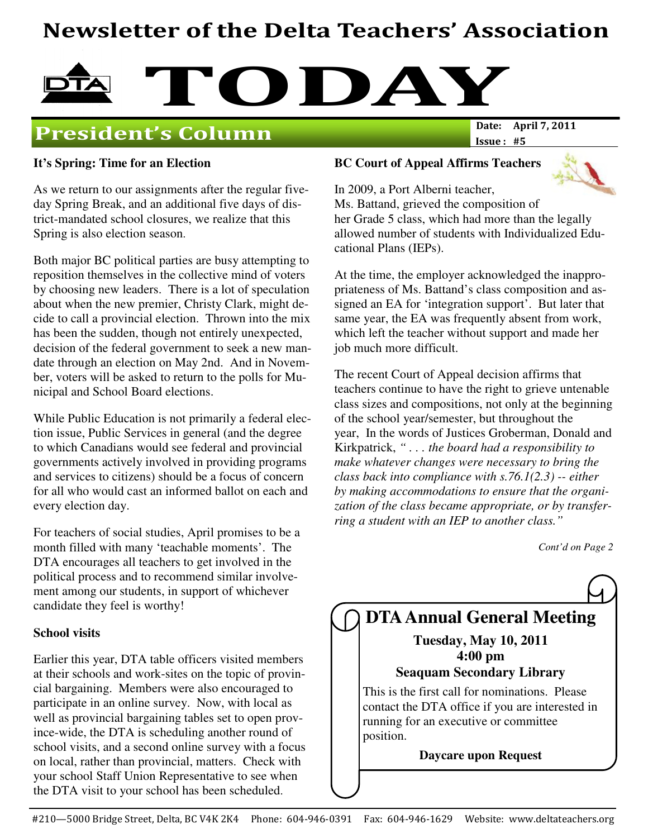# Newsletter of the Delta Teachers' Association



### **President's Column**

Issue : #5

#### **It's Spring: Time for an Election**

As we return to our assignments after the regular fiveday Spring Break, and an additional five days of district-mandated school closures, we realize that this Spring is also election season.

Both major BC political parties are busy attempting to reposition themselves in the collective mind of voters by choosing new leaders. There is a lot of speculation about when the new premier, Christy Clark, might decide to call a provincial election. Thrown into the mix has been the sudden, though not entirely unexpected, decision of the federal government to seek a new mandate through an election on May 2nd. And in November, voters will be asked to return to the polls for Municipal and School Board elections.

While Public Education is not primarily a federal election issue, Public Services in general (and the degree to which Canadians would see federal and provincial governments actively involved in providing programs and services to citizens) should be a focus of concern for all who would cast an informed ballot on each and every election day.

For teachers of social studies, April promises to be a month filled with many 'teachable moments'. The DTA encourages all teachers to get involved in the political process and to recommend similar involvement among our students, in support of whichever candidate they feel is worthy!

#### **School visits**

Earlier this year, DTA table officers visited members at their schools and work-sites on the topic of provincial bargaining. Members were also encouraged to participate in an online survey. Now, with local as well as provincial bargaining tables set to open province-wide, the DTA is scheduling another round of school visits, and a second online survey with a focus on local, rather than provincial, matters. Check with your school Staff Union Representative to see when the DTA visit to your school has been scheduled.

#### **BC Court of Appeal Affirms Teachers**

In 2009, a Port Alberni teacher,



Ms. Battand, grieved the composition of her Grade 5 class, which had more than the legally allowed number of students with Individualized Educational Plans (IEPs).

At the time, the employer acknowledged the inappropriateness of Ms. Battand's class composition and assigned an EA for 'integration support'. But later that same year, the EA was frequently absent from work, which left the teacher without support and made her job much more difficult.

The recent Court of Appeal decision affirms that teachers continue to have the right to grieve untenable class sizes and compositions, not only at the beginning of the school year/semester, but throughout the year, In the words of Justices Groberman, Donald and Kirkpatrick, *" . . . the board had a responsibility to make whatever changes were necessary to bring the class back into compliance with s.76.1(2.3) -- either by making accommodations to ensure that the organization of the class became appropriate, or by transferring a student with an IEP to another class."*

*Cont'd on Page 2*